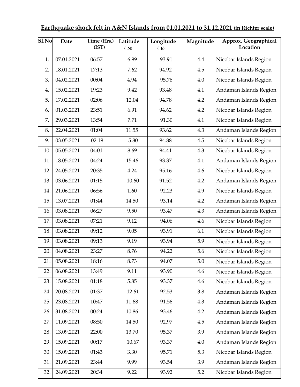## **Earthquake shock felt in A&N Islands from 01.01.2021 to 31.12.2021 (in Richter scale)**

| Sl.No | <b>Date</b> | Time (Hrs.)<br>(IST) | Latitude<br>$({}^{\circ}{\rm N})$ | Longitude<br>$(^{\circ}E)$ | Magnitude | Approx. Geographical<br>Location |
|-------|-------------|----------------------|-----------------------------------|----------------------------|-----------|----------------------------------|
| 1.    | 07.01.2021  | 06:57                | 6.99                              | 93.91                      | 4.4       | Nicobar Islands Region           |
| 2.    | 18.01.2021  | 17:13                | 7.62                              | 94.92                      | 4.5       | Nicobar Islands Region           |
| 3.    | 04.02.2021  | 00:04                | 4.94                              | 95.76                      | 4.0       | Nicobar Islands Region           |
| 4.    | 15.02.2021  | 19:23                | 9.42                              | 93.48                      | 4.1       | Andaman Islands Region           |
| 5.    | 17.02.2021  | 02:06                | 12.04                             | 94.78                      | 4.2       | Andaman Islands Region           |
| 6.    | 01.03.2021  | 23:51                | 6.91                              | 94.62                      | 4.2       | Nicobar Islands Region           |
| 7.    | 29.03.2021  | 13:54                | 7.71                              | 91.30                      | 4.1       | Nicobar Islands Region           |
| 8.    | 22.04.2021  | 01:04                | 11.55                             | 93.62                      | 4.3       | Andaman Islands Region           |
| 9.    | 03.05.2021  | 02:19                | 5.80                              | 94.88                      | 4.5       | Nicobar Islands Region           |
| 10.   | 05.05.2021  | 04:01                | 8.69                              | 94.41                      | 4.3       | Nicobar Islands Region           |
| 11.   | 18.05.2021  | 04:24                | 15.46                             | 93.37                      | 4.1       | Andaman Islands Region           |
| 12.   | 24.05.2021  | 20:35                | 4.24                              | 95.16                      | 4.6       | Nicobar Islands Region           |
| 13.   | 03.06.2021  | 01:15                | 10.60                             | 91.52                      | 4.2       | Andaman Islands Region           |
| 14.   | 21.06.2021  | 06:56                | 1.60                              | 92.23                      | 4.9       | Nicobar Islands Region           |
| 15.   | 13.07.2021  | 01:44                | 14.50                             | 93.14                      | 4.2       | Andaman Islands Region           |
| 16.   | 03.08.2021  | 06:27                | 9.50                              | 93.47                      | 4.3       | Andaman Islands Region           |
| 17.   | 03.08.2021  | 07:21                | 9.12                              | 94.06                      | 4.6       | Nicobar Islands Region           |
| 18.   | 03.08.2021  | 09:12                | 9.05                              | 93.91                      | 6.1       | Nicobar Islands Region           |
| 19.   | 03.08.2021  | 09:13                | 9.19                              | 93.94                      | 5.9       | Nicobar Islands Region           |
| 20.   | 04.08.2021  | 23:27                | 8.76                              | 94.22                      | 5.6       | Nicobar Islands Region           |
| 21.   | 05.08.2021  | 18:16                | 8.73                              | 94.07                      | $5.0\,$   | Nicobar Islands Region           |
| 22.   | 06.08.2021  | 13:49                | 9.11                              | 93.90                      | 4.6       | Nicobar Islands Region           |
| 23.   | 15.08.2021  | 01:18                | 5.85                              | 93.37                      | 4.6       | Nicobar Islands Region           |
| 24.   | 20.08.2021  | 01:37                | 12.61                             | 92.53                      | 3.8       | Andaman Islands Region           |
| 25.   | 23.08.2021  | 10:47                | 11.68                             | 91.56                      | 4.3       | Andaman Islands Region           |
| 26.   | 31.08.2021  | 00:24                | 10.86                             | 93.46                      | 4.2       | Andaman Islands Region           |
| 27.   | 11.09.2021  | 08:50                | 14.50                             | 92.97                      | 4.5       | Andaman Islands Region           |
| 28.   | 13.09.2021  | 22:00                | 13.70                             | 95.37                      | 3.9       | Andaman Islands Region           |
| 29.   | 15.09.2021  | 00:17                | 10.67                             | 93.37                      | 4.0       | Andaman Islands Region           |
| 30.   | 15.09.2021  | 01:43                | 3.30                              | 95.71                      | 5.3       | Nicobar Islands Region           |
| 31.   | 21.09.2021  | 23:44                | 9.99                              | 93.54                      | 3.9       | Andaman Islands Region           |
| 32.   | 24.09.2021  | 20:34                | 9.22                              | 93.92                      | 5.2       | Nicobar Islands Region           |